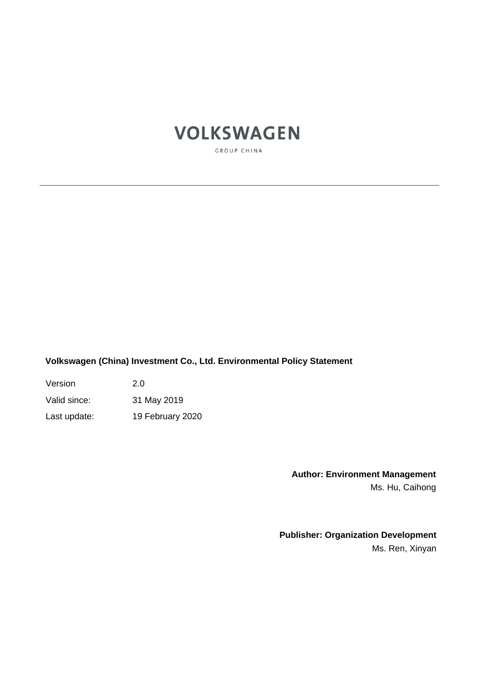# **VOLKSWAGEN**

GROUP CHINA

**Volkswagen (China) Investment Co., Ltd. Environmental Policy Statement**

Version 2.0

Valid since: 31 May 2019

Last update: 19 February 2020

**Author: Environment Management** Ms. Hu, Caihong

**Publisher: Organization Development** Ms. Ren, Xinyan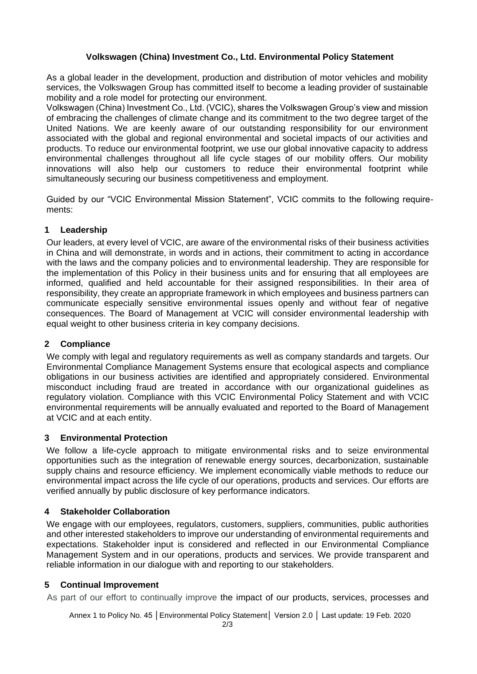### **Volkswagen (China) Investment Co., Ltd. Environmental Policy Statement**

As a global leader in the development, production and distribution of motor vehicles and mobility services, the Volkswagen Group has committed itself to become a leading provider of sustainable mobility and a role model for protecting our environment.

Volkswagen (China) Investment Co., Ltd. (VCIC), shares the Volkswagen Group's view and mission of embracing the challenges of climate change and its commitment to the two degree target of the United Nations. We are keenly aware of our outstanding responsibility for our environment associated with the global and regional environmental and societal impacts of our activities and products. To reduce our environmental footprint, we use our global innovative capacity to address environmental challenges throughout all life cycle stages of our mobility offers. Our mobility innovations will also help our customers to reduce their environmental footprint while simultaneously securing our business competitiveness and employment.

Guided by our "VCIC Environmental Mission Statement", VCIC commits to the following requirements:

## **1 Leadership**

Our leaders, at every level of VCIC, are aware of the environmental risks of their business activities in China and will demonstrate, in words and in actions, their commitment to acting in accordance with the laws and the company policies and to environmental leadership. They are responsible for the implementation of this Policy in their business units and for ensuring that all employees are informed, qualified and held accountable for their assigned responsibilities. In their area of responsibility, they create an appropriate framework in which employees and business partners can communicate especially sensitive environmental issues openly and without fear of negative consequences. The Board of Management at VCIC will consider environmental leadership with equal weight to other business criteria in key company decisions.

#### **2 Compliance**

We comply with legal and regulatory requirements as well as company standards and targets. Our Environmental Compliance Management Systems ensure that ecological aspects and compliance obligations in our business activities are identified and appropriately considered. Environmental misconduct including fraud are treated in accordance with our organizational guidelines as regulatory violation. Compliance with this VCIC Environmental Policy Statement and with VCIC environmental requirements will be annually evaluated and reported to the Board of Management at VCIC and at each entity.

#### **3 Environmental Protection**

We follow a life-cycle approach to mitigate environmental risks and to seize environmental opportunities such as the integration of renewable energy sources, decarbonization, sustainable supply chains and resource efficiency. We implement economically viable methods to reduce our environmental impact across the life cycle of our operations, products and services. Our efforts are verified annually by public disclosure of key performance indicators.

# **4 Stakeholder Collaboration**

We engage with our employees, regulators, customers, suppliers, communities, public authorities and other interested stakeholders to improve our understanding of environmental requirements and expectations. Stakeholder input is considered and reflected in our Environmental Compliance Management System and in our operations, products and services. We provide transparent and reliable information in our dialogue with and reporting to our stakeholders.

#### **5 Continual Improvement**

As part of our effort to continually improve the impact of our products, services, processes and

Annex 1 to Policy No. 45 │Environmental Policy Statement│ Version 2.0 │ Last update: 19 Feb. 2020